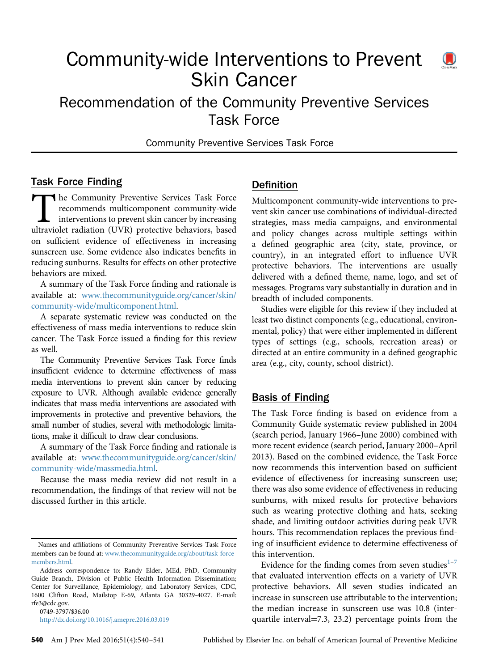# Community-wide Interventions to Prevent Skin Cancer



Community Preventive Services Task Force

#### Task Force Finding

The Community Preventive Services Task Force<br>recommends multicomponent community-wide<br>interventions to prevent skin cancer by increasing<br>ultraviolet radiation (UVR) protective behaviors, based recommends multicomponent community-wide interventions to prevent skin cancer by increasing ultraviolet radiation (UVR) protective behaviors, based on sufficient evidence of effectiveness in increasing sunscreen use. Some evidence also indicates benefits in reducing sunburns. Results for effects on other protective behaviors are mixed.

A summary of the Task Force finding and rationale is available at: [www.thecommunityguide.org/cancer/skin/](http://www.thecommunityguide.org/cancer/skin/community-wide/multicomponent.html) [community-wide/multicomponent.html.](http://www.thecommunityguide.org/cancer/skin/community-wide/multicomponent.html)

A separate systematic review was conducted on the effectiveness of mass media interventions to reduce skin cancer. The Task Force issued a finding for this review as well.

The Community Preventive Services Task Force finds insufficient evidence to determine effectiveness of mass media interventions to prevent skin cancer by reducing exposure to UVR. Although available evidence generally indicates that mass media interventions are associated with improvements in protective and preventive behaviors, the small number of studies, several with methodologic limitations, make it difficult to draw clear conclusions.

A summary of the Task Force finding and rationale is available at: [www.thecommunityguide.org/cancer/skin/](http://www.thecommunityguide.org/cancer/skin/community-wide/massmedia.html) [community-wide/massmedia.html.](http://www.thecommunityguide.org/cancer/skin/community-wide/massmedia.html)

Because the mass media review did not result in a recommendation, the findings of that review will not be discussed further in this article.

0749-3797/\$36.00 <http://dx.doi.org/10.1016/j.amepre.2016.03.019>

#### Definition

Multicomponent community-wide interventions to prevent skin cancer use combinations of individual-directed strategies, mass media campaigns, and environmental and policy changes across multiple settings within a defined geographic area (city, state, province, or country), in an integrated effort to influence UVR protective behaviors. The interventions are usually delivered with a defined theme, name, logo, and set of messages. Programs vary substantially in duration and in breadth of included components.

Studies were eligible for this review if they included at least two distinct components (e.g., educational, environmental, policy) that were either implemented in different types of settings (e.g., schools, recreation areas) or directed at an entire community in a defined geographic area (e.g., city, county, school district).

#### Basis of Finding

The Task Force finding is based on evidence from a Community Guide systematic review published in 2004 (search period, January 1966–June 2000) combined with more recent evidence (search period, January 2000–April 2013). Based on the combined evidence, the Task Force now recommends this intervention based on sufficient evidence of effectiveness for increasing sunscreen use; there was also some evidence of effectiveness in reducing sunburns, with mixed results for protective behaviors such as wearing protective clothing and hats, seeking shade, and limiting outdoor activities during peak UVR hours. This recommendation replaces the previous finding of insufficient evidence to determine effectiveness of this intervention.

Evidence for the finding comes from seven studies $1-7$  $1-7$  $1-7$ that evaluated intervention effects on a variety of UVR protective behaviors. All seven studies indicated an increase in sunscreen use attributable to the intervention; the median increase in sunscreen use was 10.8 (interquartile interval=7.3, 23.2) percentage points from the



Names and affiliations of Community Preventive Services Task Force members can be found at: [www.thecommunityguide.org/about/task-force](http://www.thecommunityguide.org/about/task-force-members.html)[members.html](http://www.thecommunityguide.org/about/task-force-members.html).

Address correspondence to: Randy Elder, MEd, PhD, Community Guide Branch, Division of Public Health Information Dissemination; Center for Surveillance, Epidemiology, and Laboratory Services, CDC, 1600 Clifton Road, Mailstop E-69, Atlanta GA 30329-4027. E-mail: [rfe3@cdc.gov.](mailto:rfe3@cdc.gov)